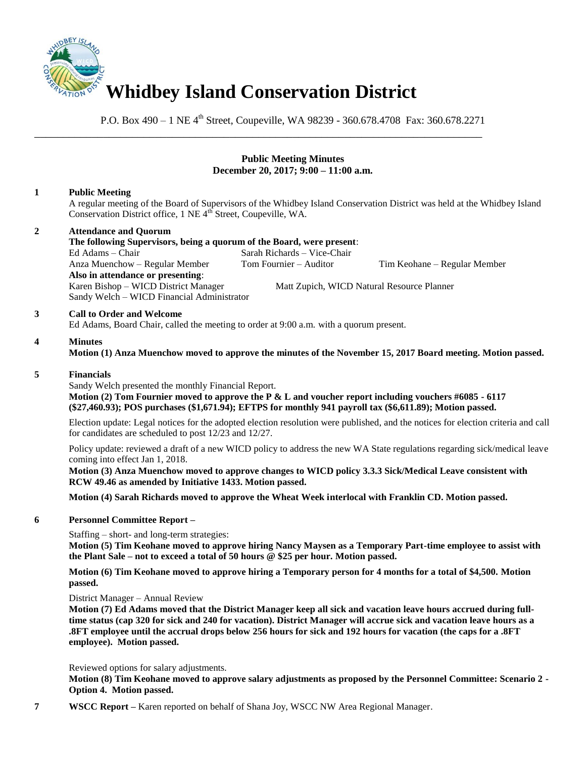

\_\_\_\_\_\_\_\_\_\_\_\_\_\_\_\_\_\_\_\_\_\_\_\_\_\_\_\_\_\_\_\_\_\_\_\_\_\_\_\_\_\_\_\_\_\_\_\_\_\_\_\_\_\_\_\_\_\_\_\_\_\_\_\_\_\_\_\_\_\_\_\_\_\_\_\_\_\_

P.O. Box 490 – 1 NE 4<sup>th</sup> Street, Coupeville, WA 98239 - 360.678.4708 Fax: 360.678.2271

## **Public Meeting Minutes December 20, 2017; 9:00 – 11:00 a.m.**

# **1 Public Meeting**

A regular meeting of the Board of Supervisors of the Whidbey Island Conservation District was held at the Whidbey Island Conservation District office, 1 NE 4<sup>th</sup> Street, Coupeville, WA.

### **2 Attendance and Quorum**

**The following Supervisors, being a quorum of the Board, were present**: Ed Adams – Chair Sarah Richards – Vice-Chair Anza Muenchow – Regular Member Tom Fournier – Auditor Tim Keohane – Regular Member **Also in attendance or presenting**: Karen Bishop – WICD District Manager Matt Zupich, WICD Natural Resource Planner Sandy Welch – WICD Financial Administrator

### **3 Call to Order and Welcome**

Ed Adams, Board Chair, called the meeting to order at 9:00 a.m. with a quorum present.

#### **4 Minutes**

**Motion (1) Anza Muenchow moved to approve the minutes of the November 15, 2017 Board meeting. Motion passed.** 

#### **5 Financials**

Sandy Welch presented the monthly Financial Report.

**Motion (2) Tom Fournier moved to approve the P & L and voucher report including vouchers #6085 - 6117 (\$27,460.93); POS purchases (\$1,671.94); EFTPS for monthly 941 payroll tax (\$6,611.89); Motion passed.** 

Election update: Legal notices for the adopted election resolution were published, and the notices for election criteria and call for candidates are scheduled to post 12/23 and 12/27.

Policy update: reviewed a draft of a new WICD policy to address the new WA State regulations regarding sick/medical leave coming into effect Jan 1, 2018.

**Motion (3) Anza Muenchow moved to approve changes to WICD policy 3.3.3 Sick/Medical Leave consistent with RCW 49.46 as amended by Initiative 1433. Motion passed.**

**Motion (4) Sarah Richards moved to approve the Wheat Week interlocal with Franklin CD. Motion passed.**

### **6 Personnel Committee Report –**

Staffing – short- and long-term strategies:

**Motion (5) Tim Keohane moved to approve hiring Nancy Maysen as a Temporary Part-time employee to assist with the Plant Sale – not to exceed a total of 50 hours @ \$25 per hour. Motion passed.**

**Motion (6) Tim Keohane moved to approve hiring a Temporary person for 4 months for a total of \$4,500. Motion passed.**

District Manager – Annual Review

**Motion (7) Ed Adams moved that the District Manager keep all sick and vacation leave hours accrued during fulltime status (cap 320 for sick and 240 for vacation). District Manager will accrue sick and vacation leave hours as a .8FT employee until the accrual drops below 256 hours for sick and 192 hours for vacation (the caps for a .8FT employee). Motion passed.** 

Reviewed options for salary adjustments.

**Motion (8) Tim Keohane moved to approve salary adjustments as proposed by the Personnel Committee: Scenario 2 - Option 4. Motion passed.**

**7 WSCC Report –** Karen reported on behalf of Shana Joy, WSCC NW Area Regional Manager.